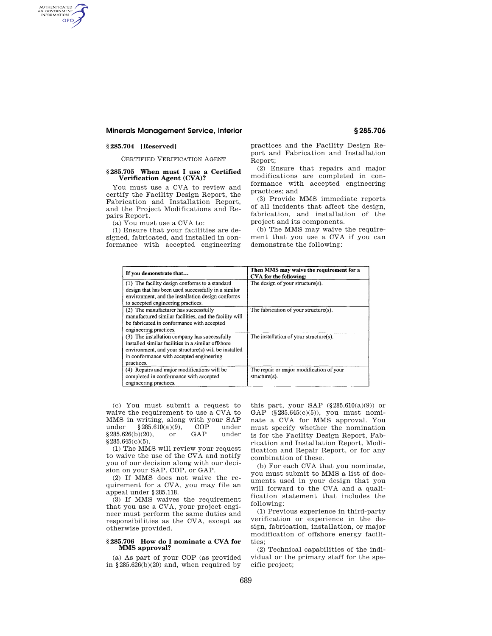# **Minerals Management Service, Interior § 285.706**

# **§ 285.704 [Reserved]**

AUTHENTICATED<br>U.S. GOVERNMENT<br>INFORMATION **GPO** 

CERTIFIED VERIFICATION AGENT

## **§ 285.705 When must I use a Certified Verification Agent (CVA)?**

You must use a CVA to review and certify the Facility Design Report, the Fabrication and Installation Report, and the Project Modifications and Repairs Report.

(a) You must use a CVA to:

(1) Ensure that your facilities are designed, fabricated, and installed in conformance with accepted engineering

practices and the Facility Design Report and Fabrication and Installation Report;

(2) Ensure that repairs and major modifications are completed in conformance with accepted engineering practices; and

(3) Provide MMS immediate reports of all incidents that affect the design, fabrication, and installation of the project and its components.

(b) The MMS may waive the requirement that you use a CVA if you can demonstrate the following:

| If you demonstrate that                                | Then MMS may waive the requirement for a<br>CVA for the following: |
|--------------------------------------------------------|--------------------------------------------------------------------|
| (1) The facility design conforms to a standard         | The design of your structure(s).                                   |
| design that has been used successfully in a similar    |                                                                    |
| environment, and the installation design conforms      |                                                                    |
| to accepted engineering practices.                     |                                                                    |
| (2) The manufacturer has successfully                  | The fabrication of your structure(s).                              |
| manufactured similar facilities, and the facility will |                                                                    |
| be fabricated in conformance with accepted             |                                                                    |
| engineering practices.                                 |                                                                    |
| (3) The installation company has successfully          | The installation of your structure(s).                             |
| installed similar facilities in a similar offshore     |                                                                    |
| environment, and your structure(s) will be installed   |                                                                    |
| in conformance with accepted engineering               |                                                                    |
| practices.                                             |                                                                    |
| (4) Repairs and major modifications will be            | The repair or major modification of your                           |
| completed in conformance with accepted                 | $structure(s)$ .                                                   |
| engineering practices.                                 |                                                                    |

(c) You must submit a request to waive the requirement to use a CVA to MMS in writing, along with your SAP under §285.610(a)(9), COP under §285.626(b)(20), or GAP under §285.645(c)(5).

(1) The MMS will review your request to waive the use of the CVA and notify you of our decision along with our decision on your SAP, COP, or GAP.

(2) If MMS does not waive the requirement for a CVA, you may file an appeal under §285.118.

(3) If MMS waives the requirement that you use a CVA, your project engineer must perform the same duties and responsibilities as the CVA, except as otherwise provided.

#### **§ 285.706 How do I nominate a CVA for MMS approval?**

(a) As part of your COP (as provided in §285.626(b)(20) and, when required by this part, your SAP  $(\S 285.610(a)(9))$  or GAP (§285.645(c)(5)), you must nominate a CVA for MMS approval. You must specify whether the nomination is for the Facility Design Report, Fabrication and Installation Report, Modification and Repair Report, or for any combination of these.

(b) For each CVA that you nominate, you must submit to MMS a list of documents used in your design that you will forward to the CVA and a qualification statement that includes the following:

(1) Previous experience in third-party verification or experience in the design, fabrication, installation, or major modification of offshore energy facilities;

(2) Technical capabilities of the individual or the primary staff for the specific project;